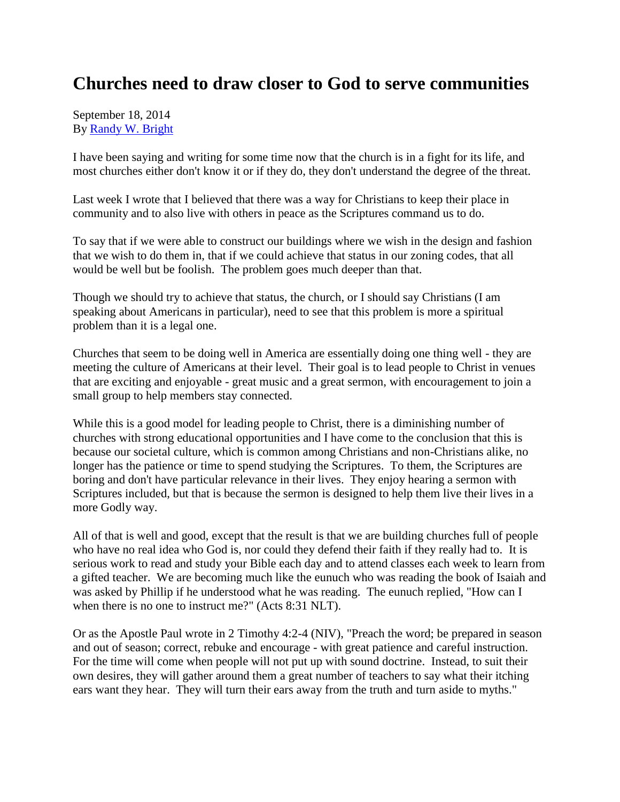## **Churches need to draw closer to God to serve communities**

September 18, 2014 By [Randy W. Bright](http://www.tulsabeacon.com/author/slug-o6yd1v)

I have been saying and writing for some time now that the church is in a fight for its life, and most churches either don't know it or if they do, they don't understand the degree of the threat.

Last week I wrote that I believed that there was a way for Christians to keep their place in community and to also live with others in peace as the Scriptures command us to do.

To say that if we were able to construct our buildings where we wish in the design and fashion that we wish to do them in, that if we could achieve that status in our zoning codes, that all would be well but be foolish. The problem goes much deeper than that.

Though we should try to achieve that status, the church, or I should say Christians (I am speaking about Americans in particular), need to see that this problem is more a spiritual problem than it is a legal one.

Churches that seem to be doing well in America are essentially doing one thing well - they are meeting the culture of Americans at their level. Their goal is to lead people to Christ in venues that are exciting and enjoyable - great music and a great sermon, with encouragement to join a small group to help members stay connected.

While this is a good model for leading people to Christ, there is a diminishing number of churches with strong educational opportunities and I have come to the conclusion that this is because our societal culture, which is common among Christians and non-Christians alike, no longer has the patience or time to spend studying the Scriptures. To them, the Scriptures are boring and don't have particular relevance in their lives. They enjoy hearing a sermon with Scriptures included, but that is because the sermon is designed to help them live their lives in a more Godly way.

All of that is well and good, except that the result is that we are building churches full of people who have no real idea who God is, nor could they defend their faith if they really had to. It is serious work to read and study your Bible each day and to attend classes each week to learn from a gifted teacher. We are becoming much like the eunuch who was reading the book of Isaiah and was asked by Phillip if he understood what he was reading. The eunuch replied, "How can I when there is no one to instruct me?" (Acts 8:31 NLT).

Or as the Apostle Paul wrote in 2 Timothy 4:2-4 (NIV), "Preach the word; be prepared in season and out of season; correct, rebuke and encourage - with great patience and careful instruction. For the time will come when people will not put up with sound doctrine. Instead, to suit their own desires, they will gather around them a great number of teachers to say what their itching ears want they hear. They will turn their ears away from the truth and turn aside to myths."